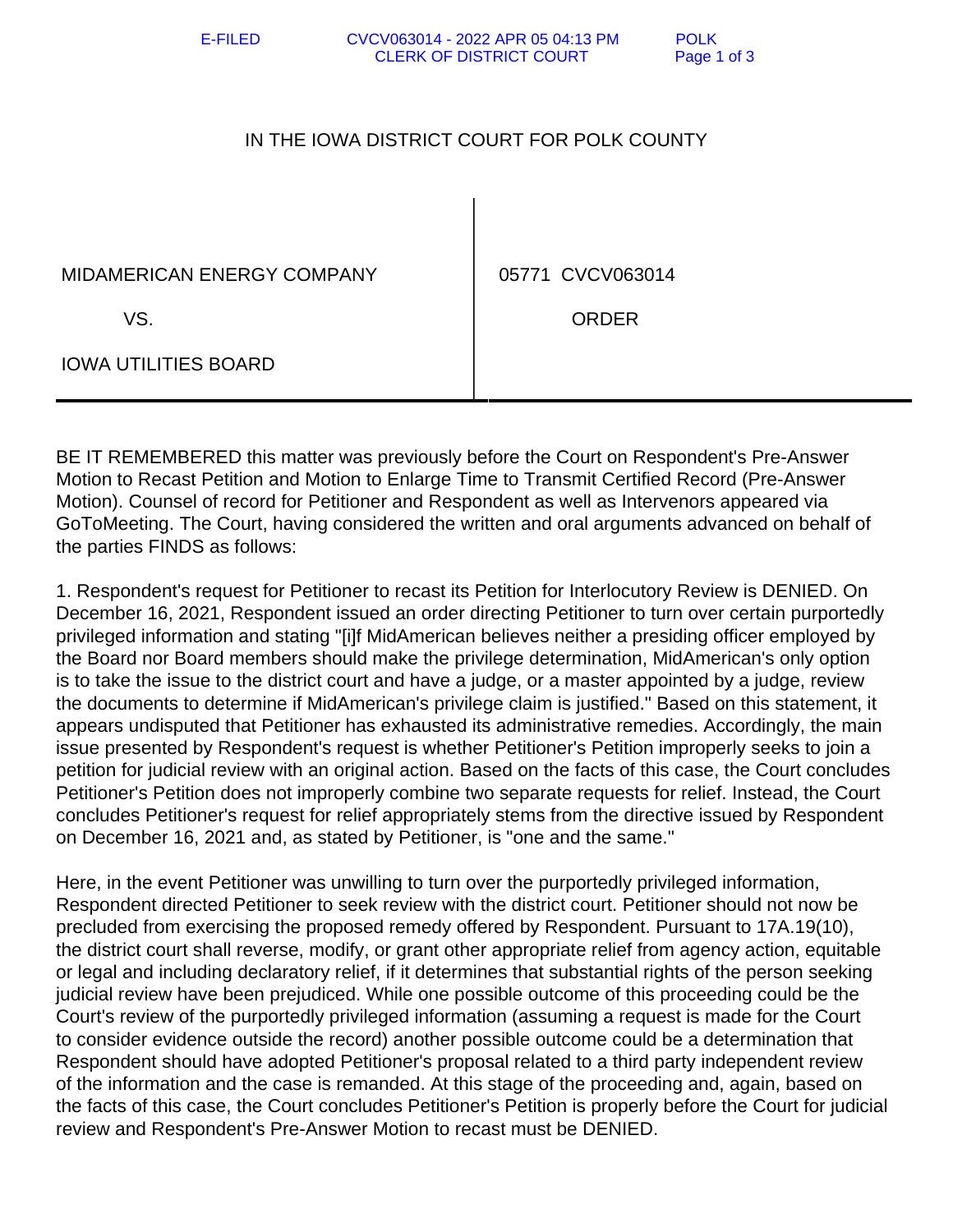E-FILED CVCV063014 - 2022 APR 05 04:13 PM POLK CLERK OF DISTRICT COURT Page 1 of 3

## IN THE IOWA DISTRICT COURT FOR POLK COUNTY

MIDAMERICAN ENERGY COMPANY | 05771 CVCV063014

IOWA UTILITIES BOARD

VS. ORDER

BE IT REMEMBERED this matter was previously before the Court on Respondent's Pre-Answer Motion to Recast Petition and Motion to Enlarge Time to Transmit Certified Record (Pre-Answer Motion). Counsel of record for Petitioner and Respondent as well as Intervenors appeared via GoToMeeting. The Court, having considered the written and oral arguments advanced on behalf of the parties FINDS as follows:

1. Respondent's request for Petitioner to recast its Petition for Interlocutory Review is DENIED. On December 16, 2021, Respondent issued an order directing Petitioner to turn over certain purportedly privileged information and stating "[i]f MidAmerican believes neither a presiding officer employed by the Board nor Board members should make the privilege determination, MidAmerican's only option is to take the issue to the district court and have a judge, or a master appointed by a judge, review the documents to determine if MidAmerican's privilege claim is justified." Based on this statement, it appears undisputed that Petitioner has exhausted its administrative remedies. Accordingly, the main issue presented by Respondent's request is whether Petitioner's Petition improperly seeks to join a petition for judicial review with an original action. Based on the facts of this case, the Court concludes Petitioner's Petition does not improperly combine two separate requests for relief. Instead, the Court concludes Petitioner's request for relief appropriately stems from the directive issued by Respondent on December 16, 2021 and, as stated by Petitioner, is "one and the same."

Here, in the event Petitioner was unwilling to turn over the purportedly privileged information, Respondent directed Petitioner to seek review with the district court. Petitioner should not now be precluded from exercising the proposed remedy offered by Respondent. Pursuant to 17A.19(10), the district court shall reverse, modify, or grant other appropriate relief from agency action, equitable or legal and including declaratory relief, if it determines that substantial rights of the person seeking judicial review have been prejudiced. While one possible outcome of this proceeding could be the Court's review of the purportedly privileged information (assuming a request is made for the Court to consider evidence outside the record) another possible outcome could be a determination that Respondent should have adopted Petitioner's proposal related to a third party independent review of the information and the case is remanded. At this stage of the proceeding and, again, based on the facts of this case, the Court concludes Petitioner's Petition is properly before the Court for judicial review and Respondent's Pre-Answer Motion to recast must be DENIED.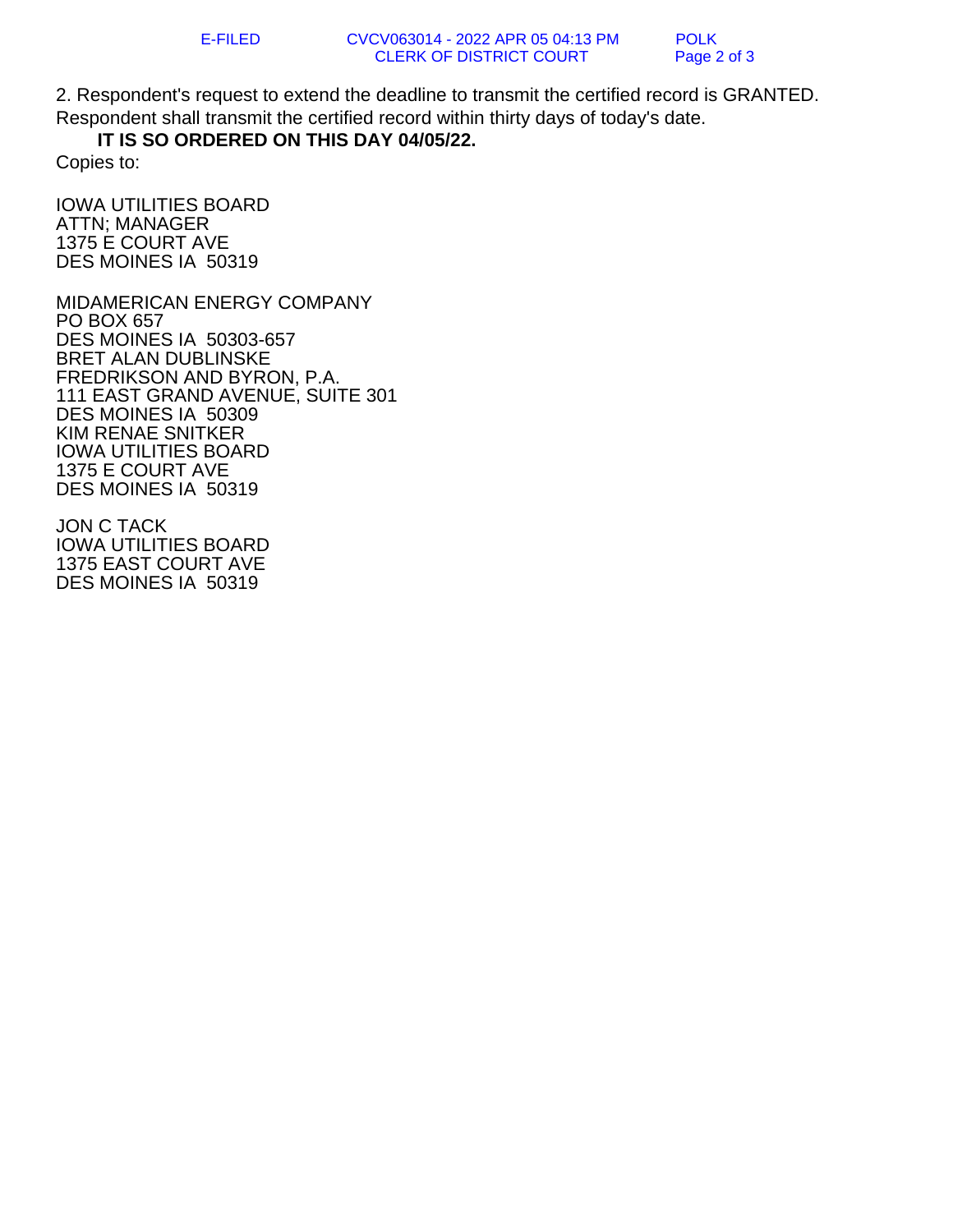2. Respondent's request to extend the deadline to transmit the certified record is GRANTED. Respondent shall transmit the certified record within thirty days of today's date.

## **IT IS SO ORDERED ON THIS DAY 04/05/22.**

Copies to:

IOWA UTILITIES BOARD ATTN; MANAGER 1375 E COURT AVE DES MOINES IA 50319

MIDAMERICAN ENERGY COMPANY PO BOX 657 DES MOINES IA 50303-657 BRET ALAN DUBLINSKE FREDRIKSON AND BYRON, P.A. 111 EAST GRAND AVENUE, SUITE 301 DES MOINES IA 50309 KIM RENAE SNITKER IOWA UTILITIES BOARD 1375 E COURT AVE DES MOINES IA 50319

JON C TACK IOWA UTILITIES BOARD 1375 EAST COURT AVE DES MOINES IA 50319